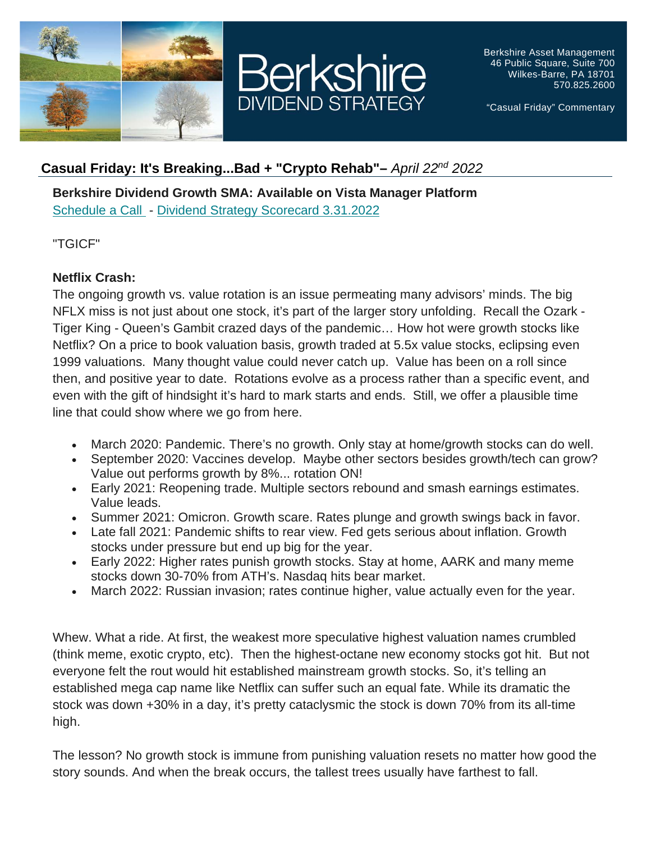



Berkshire Asset Management 46 Public Square, Suite 700 Wilkes-Barre, PA 18701 570.825.2600

"Casual Friday" Commentary

# **Casual Friday: It's Breaking...Bad + "Crypto Rehab"–** *April 22nd 2022*

**Berkshire Dividend Growth SMA: Available on Vista Manager Platform** [Schedule a Call](https://urldefense.proofpoint.com/v2/url?u=https-3A__berkmgt.us2.list-2Dmanage.com_track_click-3Fu-3Debe00755fc297a2ec6dd84aa2-26id-3Dcb520f8934-26e-3D2f3d43d482&d=DwMGaQ&c=euGZstcaTDllvimEN8b7jXrwqOf-v5A_CdpgnVfiiMM&r=7uY5aKXpmVYLms1MqNJYJAHqCx9WKAAWM-9cxlNe6co&m=PNvu6IeGRpGDAR_emrt9CHgOyguh2IkcE97VXZ0CuJw&s=nscULS409bkAYELq0HKO7wGWZsgqEUAeaqCg1Vn3tuk&e=) - [Dividend Strategy Scorecard 3.31.2022](https://urldefense.proofpoint.com/v2/url?u=https-3A__berkmgt.us2.list-2Dmanage.com_track_click-3Fu-3Debe00755fc297a2ec6dd84aa2-26id-3D1b3e87182c-26e-3D2f3d43d482&d=DwMGaQ&c=euGZstcaTDllvimEN8b7jXrwqOf-v5A_CdpgnVfiiMM&r=7uY5aKXpmVYLms1MqNJYJAHqCx9WKAAWM-9cxlNe6co&m=PNvu6IeGRpGDAR_emrt9CHgOyguh2IkcE97VXZ0CuJw&s=52kGUmb_5A7NBslR4O4pA-khZwt_k2DEC1K3-7O-Qh4&e=)

"TGICF"

## **Netflix Crash:**

The ongoing growth vs. value rotation is an issue permeating many advisors' minds. The big NFLX miss is not just about one stock, it's part of the larger story unfolding. Recall the Ozark - Tiger King - Queen's Gambit crazed days of the pandemic… How hot were growth stocks like Netflix? On a price to book valuation basis, growth traded at 5.5x value stocks, eclipsing even 1999 valuations. Many thought value could never catch up. Value has been on a roll since then, and positive year to date. Rotations evolve as a process rather than a specific event, and even with the gift of hindsight it's hard to mark starts and ends. Still, we offer a plausible time line that could show where we go from here.

- March 2020: Pandemic. There's no growth. Only stay at home/growth stocks can do well.
- September 2020: Vaccines develop. Maybe other sectors besides growth/tech can grow? Value out performs growth by 8%... rotation ON!
- Early 2021: Reopening trade. Multiple sectors rebound and smash earnings estimates. Value leads.
- Summer 2021: Omicron. Growth scare. Rates plunge and growth swings back in favor.
- Late fall 2021: Pandemic shifts to rear view. Fed gets serious about inflation. Growth stocks under pressure but end up big for the year.
- Early 2022: Higher rates punish growth stocks. Stay at home, AARK and many meme stocks down 30-70% from ATH's. Nasdaq hits bear market.
- March 2022: Russian invasion; rates continue higher, value actually even for the year.

Whew. What a ride. At first, the weakest more speculative highest valuation names crumbled (think meme, exotic crypto, etc). Then the highest-octane new economy stocks got hit. But not everyone felt the rout would hit established mainstream growth stocks. So, it's telling an established mega cap name like Netflix can suffer such an equal fate. While its dramatic the stock was down +30% in a day, it's pretty cataclysmic the stock is down 70% from its all-time high.

The lesson? No growth stock is immune from punishing valuation resets no matter how good the story sounds. And when the break occurs, the tallest trees usually have farthest to fall.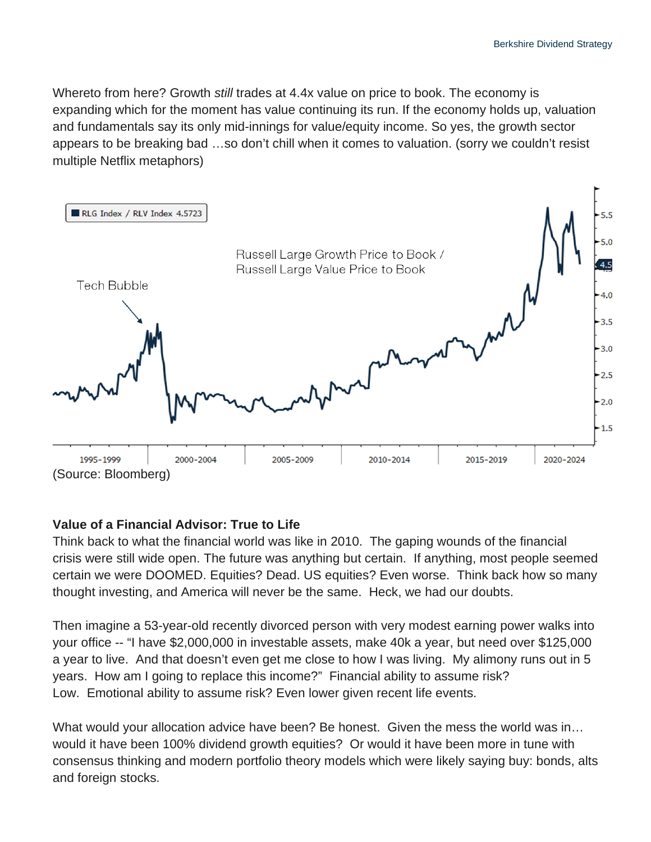Whereto from here? Growth *still* trades at 4.4x value on price to book. The economy is expanding which for the moment has value continuing its run. If the economy holds up, valuation and fundamentals say its only mid-innings for value/equity income. So yes, the growth sector appears to be breaking bad …so don't chill when it comes to valuation. (sorry we couldn't resist multiple Netflix metaphors)



### **Value of a Financial Advisor: True to Life**

Think back to what the financial world was like in 2010. The gaping wounds of the financial crisis were still wide open. The future was anything but certain. If anything, most people seemed certain we were DOOMED. Equities? Dead. US equities? Even worse. Think back how so many thought investing, and America will never be the same. Heck, we had our doubts.

Then imagine a 53-year-old recently divorced person with very modest earning power walks into your office -- "I have \$2,000,000 in investable assets, make 40k a year, but need over \$125,000 a year to live. And that doesn't even get me close to how I was living. My alimony runs out in 5 years. How am I going to replace this income?" Financial ability to assume risk? Low. Emotional ability to assume risk? Even lower given recent life events.

What would your allocation advice have been? Be honest. Given the mess the world was in… would it have been 100% dividend growth equities? Or would it have been more in tune with consensus thinking and modern portfolio theory models which were likely saying buy: bonds, alts and foreign stocks.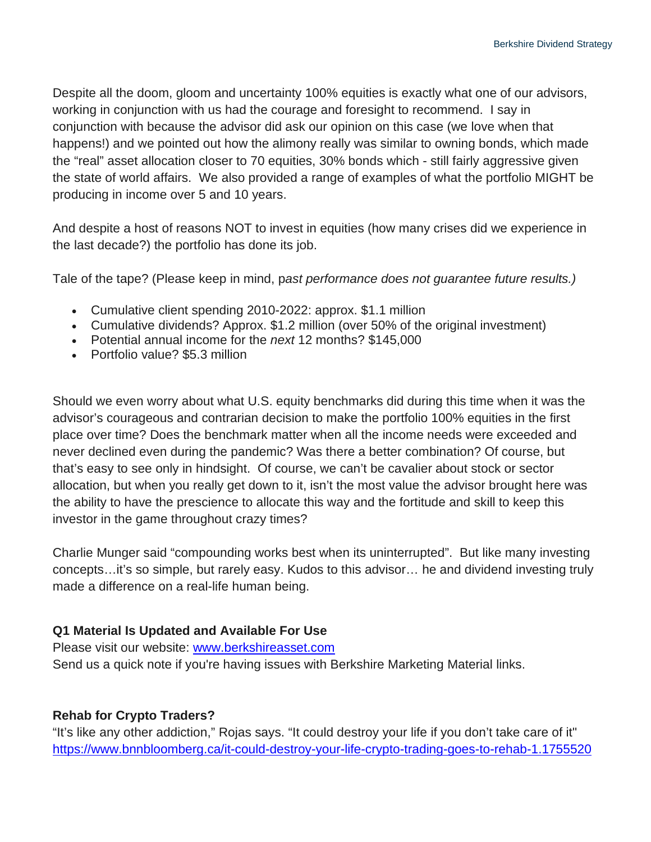Despite all the doom, gloom and uncertainty 100% equities is exactly what one of our advisors, working in conjunction with us had the courage and foresight to recommend. I say in conjunction with because the advisor did ask our opinion on this case (we love when that happens!) and we pointed out how the alimony really was similar to owning bonds, which made the "real" asset allocation closer to 70 equities, 30% bonds which - still fairly aggressive given the state of world affairs. We also provided a range of examples of what the portfolio MIGHT be producing in income over 5 and 10 years.

And despite a host of reasons NOT to invest in equities (how many crises did we experience in the last decade?) the portfolio has done its job.

Tale of the tape? (Please keep in mind, p*ast performance does not guarantee future results.)*

- Cumulative client spending 2010-2022: approx. \$1.1 million
- Cumulative dividends? Approx. \$1.2 million (over 50% of the original investment)
- Potential annual income for the *next* 12 months? \$145,000
- Portfolio value? \$5.3 million

Should we even worry about what U.S. equity benchmarks did during this time when it was the advisor's courageous and contrarian decision to make the portfolio 100% equities in the first place over time? Does the benchmark matter when all the income needs were exceeded and never declined even during the pandemic? Was there a better combination? Of course, but that's easy to see only in hindsight. Of course, we can't be cavalier about stock or sector allocation, but when you really get down to it, isn't the most value the advisor brought here was the ability to have the prescience to allocate this way and the fortitude and skill to keep this investor in the game throughout crazy times?

Charlie Munger said "compounding works best when its uninterrupted". But like many investing concepts…it's so simple, but rarely easy. Kudos to this advisor… he and dividend investing truly made a difference on a real-life human being.

#### **Q1 Material Is Updated and Available For Use**

Please visit our website: [www.berkshireasset.com](https://urldefense.proofpoint.com/v2/url?u=http-3A__www.berkshireasset.com&d=DwMGaQ&c=euGZstcaTDllvimEN8b7jXrwqOf-v5A_CdpgnVfiiMM&r=7uY5aKXpmVYLms1MqNJYJAHqCx9WKAAWM-9cxlNe6co&m=PNvu6IeGRpGDAR_emrt9CHgOyguh2IkcE97VXZ0CuJw&s=VZEF6o7IrAXOupCWohPd4Lb3_m0gXClXb1vx7dHykxg&e=) Send us a quick note if you're having issues with Berkshire Marketing Material links.

### **Rehab for Crypto Traders?**

"It's like any other addiction," Rojas says. "It could destroy your life if you don't take care of it" [https://www.bnnbloomberg.ca/it-could-destroy-your-life-crypto-trading-goes-to-rehab-1.1755520](https://urldefense.proofpoint.com/v2/url?u=https-3A__www.bnnbloomberg.ca_it-2Dcould-2Ddestroy-2Dyour-2Dlife-2Dcrypto-2Dtrading-2Dgoes-2Dto-2Drehab-2D1.1755520&d=DwMGaQ&c=euGZstcaTDllvimEN8b7jXrwqOf-v5A_CdpgnVfiiMM&r=7uY5aKXpmVYLms1MqNJYJAHqCx9WKAAWM-9cxlNe6co&m=PNvu6IeGRpGDAR_emrt9CHgOyguh2IkcE97VXZ0CuJw&s=5MAbYDwz27gsOqULPYCxhcZycEUWDQRVyHHRSfHDLEo&e=)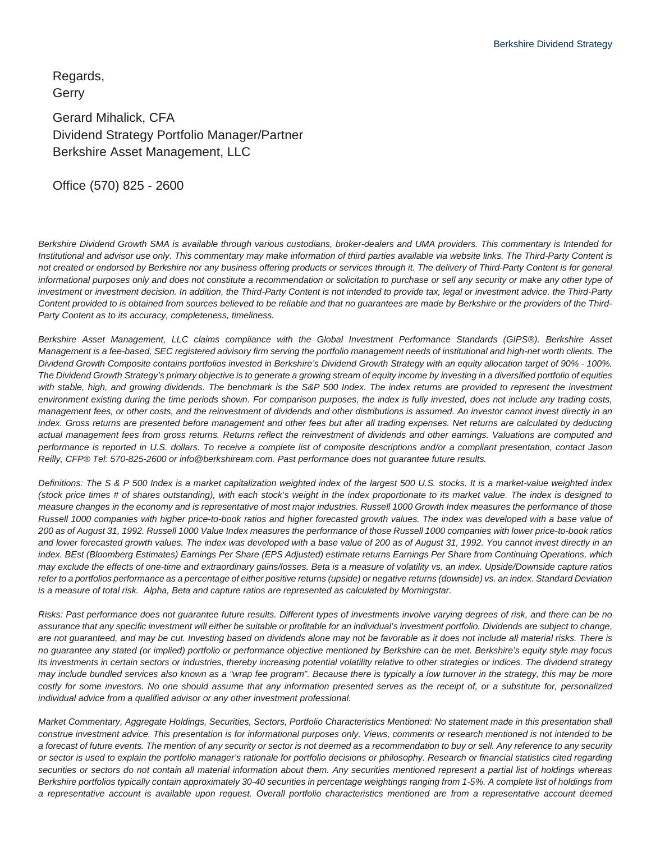Regards, **Gerry** 

Gerard Mihalick, CFA Dividend Strategy Portfolio Manager/Partner Berkshire Asset Management, LLC

Office (570) 825 - 2600

*Berkshire Dividend Growth SMA is available through various custodians, broker-dealers and UMA providers. This commentary is Intended for Institutional and advisor use only. This commentary may make information of third parties available via website links. The Third-Party Content is*  not created or endorsed by Berkshire nor any business offering products or services through it. The delivery of Third-Party Content is for general *informational purposes only and does not constitute a recommendation or solicitation to purchase or sell any security or make any other type of*  investment or investment decision. In addition, the Third-Party Content is not intended to provide tax, legal or investment advice. the Third-Party *Content provided to is obtained from sources believed to be reliable and that no guarantees are made by Berkshire or the providers of the Third-Party Content as to its accuracy, completeness, timeliness.*

*Berkshire Asset Management, LLC claims compliance with the Global Investment Performance Standards (GIPS®). Berkshire Asset Management is a fee-based, SEC registered advisory firm serving the portfolio management needs of institutional and high-net worth clients. The Dividend Growth Composite contains portfolios invested in Berkshire's Dividend Growth Strategy with an equity allocation target of 90% - 100%. The Dividend Growth Strategy's primary objective is to generate a growing stream of equity income by investing in a diversified portfolio of equities*  with stable, high, and growing dividends. The benchmark is the S&P 500 Index. The index returns are provided to represent the investment *environment existing during the time periods shown. For comparison purposes, the index is fully invested, does not include any trading costs, management fees, or other costs, and the reinvestment of dividends and other distributions is assumed. An investor cannot invest directly in an index. Gross returns are presented before management and other fees but after all trading expenses. Net returns are calculated by deducting actual management fees from gross returns. Returns reflect the reinvestment of dividends and other earnings. Valuations are computed and performance is reported in U.S. dollars. To receive a complete list of composite descriptions and/or a compliant presentation, contact Jason Reilly, CFP® Tel: 570-825-2600 or info@berkshiream.com. Past performance does not guarantee future results.*

*Definitions: The S & P 500 Index is a market capitalization weighted index of the largest 500 U.S. stocks. It is a market-value weighted index (stock price times # of shares outstanding), with each stock's weight in the index proportionate to its market value. The index is designed to measure changes in the economy and is representative of most major industries. Russell 1000 Growth Index measures the performance of those Russell 1000 companies with higher price-to-book ratios and higher forecasted growth values. The index was developed with a base value of 200 as of August 31, 1992. Russell 1000 Value Index measures the performance of those Russell 1000 companies with lower price-to-book ratios and lower forecasted growth values. The index was developed with a base value of 200 as of August 31, 1992. You cannot invest directly in an index. BEst (Bloomberg Estimates) Earnings Per Share (EPS Adjusted) estimate returns Earnings Per Share from Continuing Operations, which may exclude the effects of one-time and extraordinary gains/losses. Beta is a measure of volatility vs. an index. Upside/Downside capture ratios refer to a portfolios performance as a percentage of either positive returns (upside) or negative returns (downside) vs. an index. Standard Deviation is a measure of total risk. Alpha, Beta and capture ratios are represented as calculated by Morningstar.*

*Risks: Past performance does not guarantee future results. Different types of investments involve varying degrees of risk, and there can be no assurance that any specific investment will either be suitable or profitable for an individual's investment portfolio. Dividends are subject to change, are not guaranteed, and may be cut. Investing based on dividends alone may not be favorable as it does not include all material risks. There is no guarantee any stated (or implied) portfolio or performance objective mentioned by Berkshire can be met. Berkshire's equity style may focus its investments in certain sectors or industries, thereby increasing potential volatility relative to other strategies or indices. The dividend strategy may include bundled services also known as a "wrap fee program". Because there is typically a low turnover in the strategy, this may be more costly for some investors. No one should assume that any information presented serves as the receipt of, or a substitute for, personalized individual advice from a qualified advisor or any other investment professional.*

*Market Commentary, Aggregate Holdings, Securities, Sectors, Portfolio Characteristics Mentioned: No statement made in this presentation shall construe investment advice. This presentation is for informational purposes only. Views, comments or research mentioned is not intended to be a forecast of future events. The mention of any security or sector is not deemed as a recommendation to buy or sell. Any reference to any security or sector is used to explain the portfolio manager's rationale for portfolio decisions or philosophy. Research or financial statistics cited regarding*  securities or sectors do not contain all material information about them. Any securities mentioned represent a partial list of holdings whereas *Berkshire portfolios typically contain approximately 30-40 securities in percentage weightings ranging from 1-5%. A complete list of holdings from a representative account is available upon request. Overall portfolio characteristics mentioned are from a representative account deemed*